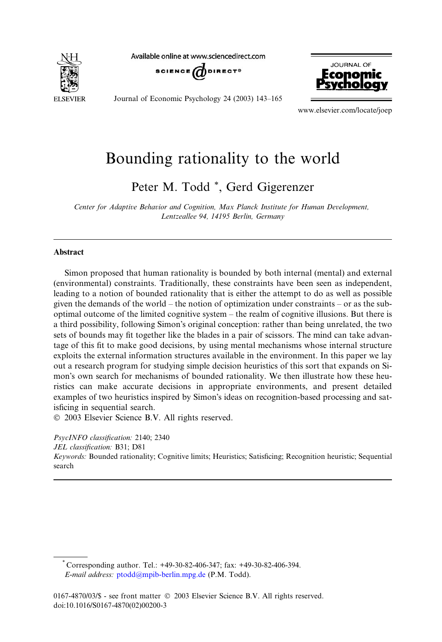

Available online at www.sciencedirect.com





Journal of Economic Psychology 24 (2003) 143–165

www.elsevier.com/locate/joep

# Bounding rationality to the world

Peter M. Todd \*, Gerd Gigerenzer

Center for Adaptive Behavior and Cognition, Max Planck Institute for Human Development, Lentzeallee 94, 14195 Berlin, Germany

#### Abstract

Simon proposed that human rationality is bounded by both internal (mental) and external (environmental) constraints. Traditionally, these constraints have been seen as independent, leading to a notion of bounded rationality that is either the attempt to do as well as possible given the demands of the world – the notion of optimization under constraints – or as the suboptimal outcome of the limited cognitive system – the realm of cognitive illusions. But there is a third possibility, following Simon's original conception: rather than being unrelated, the two sets of bounds may fit together like the blades in a pair of scissors. The mind can take advantage of this fit to make good decisions, by using mental mechanisms whose internal structure exploits the external information structures available in the environment. In this paper we lay out a research program for studying simple decision heuristics of this sort that expands on Simon's own search for mechanisms of bounded rationality. We then illustrate how these heuristics can make accurate decisions in appropriate environments, and present detailed examples of two heuristics inspired by Simon's ideas on recognition-based processing and satisficing in sequential search.

2003 Elsevier Science B.V. All rights reserved.

PsycINFO classification: 2140; 2340 JEL classification: B31; D81 Keywords: Bounded rationality; Cognitive limits; Heuristics; Satisficing; Recognition heuristic; Sequential search

<sup>\*</sup> Corresponding author. Tel.: +49-30-82-406-347; fax: +49-30-82-406-394. E-mail address: [ptodd@mpib-berlin.mpg.de](mail to: ptodd@mpib-berlin.mpg.de) (P.M. Todd).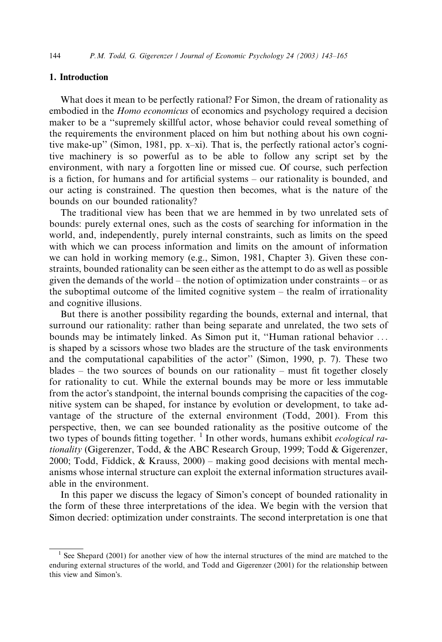## 1. Introduction

What does it mean to be perfectly rational? For Simon, the dream of rationality as embodied in the Homo economicus of economics and psychology required a decision maker to be a ''supremely skillful actor, whose behavior could reveal something of the requirements the environment placed on him but nothing about his own cognitive make-up" (Simon, 1981, pp. x-xi). That is, the perfectly rational actor's cognitive machinery is so powerful as to be able to follow any script set by the environment, with nary a forgotten line or missed cue. Of course, such perfection is a fiction, for humans and for artificial systems – our rationality is bounded, and our acting is constrained. The question then becomes, what is the nature of the bounds on our bounded rationality?

The traditional view has been that we are hemmed in by two unrelated sets of bounds: purely external ones, such as the costs of searching for information in the world, and, independently, purely internal constraints, such as limits on the speed with which we can process information and limits on the amount of information we can hold in working memory (e.g., Simon, 1981, Chapter 3). Given these constraints, bounded rationality can be seen either as the attempt to do as well as possible given the demands of the world – the notion of optimization under constraints – or as the suboptimal outcome of the limited cognitive system – the realm of irrationality and cognitive illusions.

But there is another possibility regarding the bounds, external and internal, that surround our rationality: rather than being separate and unrelated, the two sets of bounds may be intimately linked. As Simon put it, ''Human rational behavior ... is shaped by a scissors whose two blades are the structure of the task environments and the computational capabilities of the actor'' (Simon, 1990, p. 7). These two blades – the two sources of bounds on our rationality – must fit together closely for rationality to cut. While the external bounds may be more or less immutable from the actor's standpoint, the internal bounds comprising the capacities of the cognitive system can be shaped, for instance by evolution or development, to take advantage of the structure of the external environment (Todd, 2001). From this perspective, then, we can see bounded rationality as the positive outcome of the two types of bounds fitting together.  $<sup>1</sup>$  In other words, humans exhibit *ecological ra*-</sup> *tionality* (Gigerenzer, Todd,  $\&$  the ABC Research Group, 1999; Todd  $\&$  Gigerenzer, 2000; Todd, Fiddick, & Krauss, 2000) – making good decisions with mental mechanisms whose internal structure can exploit the external information structures available in the environment.

In this paper we discuss the legacy of Simon's concept of bounded rationality in the form of these three interpretations of the idea. We begin with the version that Simon decried: optimization under constraints. The second interpretation is one that

<sup>&</sup>lt;sup>1</sup> See Shepard (2001) for another view of how the internal structures of the mind are matched to the enduring external structures of the world, and Todd and Gigerenzer (2001) for the relationship between this view and Simon's.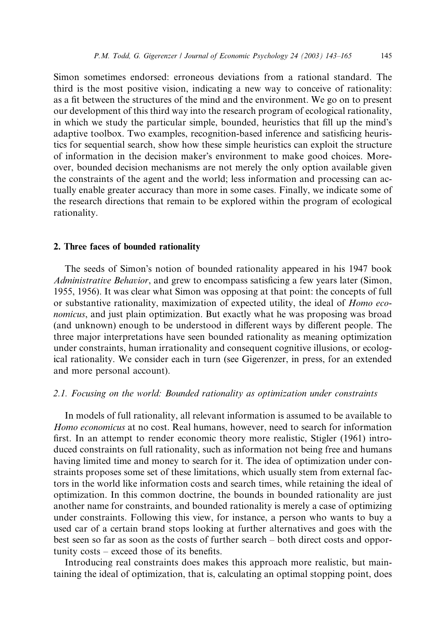Simon sometimes endorsed: erroneous deviations from a rational standard. The third is the most positive vision, indicating a new way to conceive of rationality: as a fit between the structures of the mind and the environment. We go on to present our development of this third way into the research program of ecological rationality, in which we study the particular simple, bounded, heuristics that fill up the mind's adaptive toolbox. Two examples, recognition-based inference and satisficing heuristics for sequential search, show how these simple heuristics can exploit the structure of information in the decision maker's environment to make good choices. Moreover, bounded decision mechanisms are not merely the only option available given the constraints of the agent and the world; less information and processing can actually enable greater accuracy than more in some cases. Finally, we indicate some of the research directions that remain to be explored within the program of ecological rationality.

## 2. Three faces of bounded rationality

The seeds of Simon's notion of bounded rationality appeared in his 1947 book Administrative Behavior, and grew to encompass satisficing a few years later (Simon, 1955, 1956). It was clear what Simon was opposing at that point: the concepts of full or substantive rationality, maximization of expected utility, the ideal of Homo economicus, and just plain optimization. But exactly what he was proposing was broad (and unknown) enough to be understood in different ways by different people. The three major interpretations have seen bounded rationality as meaning optimization under constraints, human irrationality and consequent cognitive illusions, or ecological rationality. We consider each in turn (see Gigerenzer, in press, for an extended and more personal account).

#### 2.1. Focusing on the world: Bounded rationality as optimization under constraints

In models of full rationality, all relevant information is assumed to be available to Homo economicus at no cost. Real humans, however, need to search for information first. In an attempt to render economic theory more realistic, Stigler (1961) introduced constraints on full rationality, such as information not being free and humans having limited time and money to search for it. The idea of optimization under constraints proposes some set of these limitations, which usually stem from external factors in the world like information costs and search times, while retaining the ideal of optimization. In this common doctrine, the bounds in bounded rationality are just another name for constraints, and bounded rationality is merely a case of optimizing under constraints. Following this view, for instance, a person who wants to buy a used car of a certain brand stops looking at further alternatives and goes with the best seen so far as soon as the costs of further search – both direct costs and opportunity costs – exceed those of its benefits.

Introducing real constraints does makes this approach more realistic, but maintaining the ideal of optimization, that is, calculating an optimal stopping point, does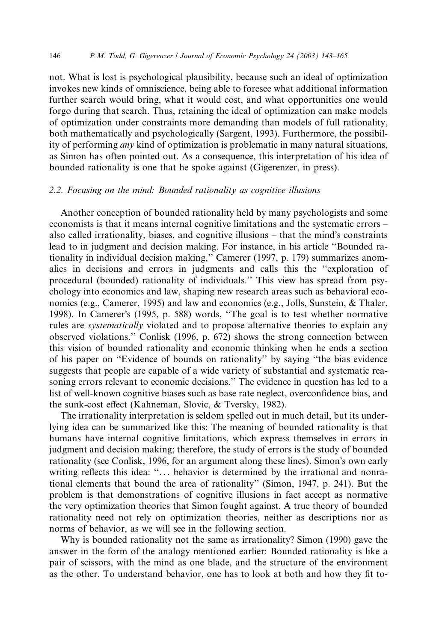not. What is lost is psychological plausibility, because such an ideal of optimization invokes new kinds of omniscience, being able to foresee what additional information further search would bring, what it would cost, and what opportunities one would forgo during that search. Thus, retaining the ideal of optimization can make models of optimization under constraints more demanding than models of full rationality, both mathematically and psychologically (Sargent, 1993). Furthermore, the possibility of performing any kind of optimization is problematic in many natural situations, as Simon has often pointed out. As a consequence, this interpretation of his idea of bounded rationality is one that he spoke against (Gigerenzer, in press).

## 2.2. Focusing on the mind: Bounded rationality as cognitive illusions

Another conception of bounded rationality held by many psychologists and some economists is that it means internal cognitive limitations and the systematic errors – also called irrationality, biases, and cognitive illusions  $-$  that the mind's constraints lead to in judgment and decision making. For instance, in his article ''Bounded rationality in individual decision making,'' Camerer (1997, p. 179) summarizes anomalies in decisions and errors in judgments and calls this the ''exploration of procedural (bounded) rationality of individuals.'' This view has spread from psychology into economics and law, shaping new research areas such as behavioral economics (e.g., Camerer, 1995) and law and economics (e.g., Jolls, Sunstein, & Thaler, 1998). In Camerer's (1995, p. 588) words, "The goal is to test whether normative rules are systematically violated and to propose alternative theories to explain any observed violations.'' Conlisk (1996, p. 672) shows the strong connection between this vision of bounded rationality and economic thinking when he ends a section of his paper on ''Evidence of bounds on rationality'' by saying ''the bias evidence suggests that people are capable of a wide variety of substantial and systematic reasoning errors relevant to economic decisions.'' The evidence in question has led to a list of well-known cognitive biases such as base rate neglect, overconfidence bias, and the sunk-cost effect (Kahneman, Slovic, & Tversky, 1982).

The irrationality interpretation is seldom spelled out in much detail, but its underlying idea can be summarized like this: The meaning of bounded rationality is that humans have internal cognitive limitations, which express themselves in errors in judgment and decision making; therefore, the study of errors is the study of bounded rationality (see Conlisk, 1996, for an argument along these lines). Simon's own early writing reflects this idea: "... behavior is determined by the irrational and nonrational elements that bound the area of rationality'' (Simon, 1947, p. 241). But the problem is that demonstrations of cognitive illusions in fact accept as normative the very optimization theories that Simon fought against. A true theory of bounded rationality need not rely on optimization theories, neither as descriptions nor as norms of behavior, as we will see in the following section.

Why is bounded rationality not the same as irrationality? Simon (1990) gave the answer in the form of the analogy mentioned earlier: Bounded rationality is like a pair of scissors, with the mind as one blade, and the structure of the environment as the other. To understand behavior, one has to look at both and how they fit to-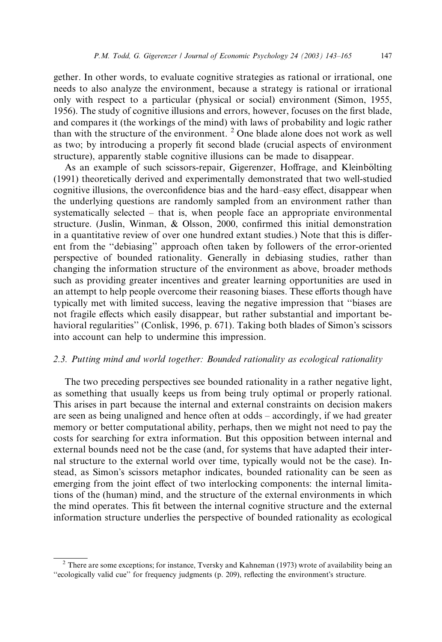gether. In other words, to evaluate cognitive strategies as rational or irrational, one needs to also analyze the environment, because a strategy is rational or irrational only with respect to a particular (physical or social) environment (Simon, 1955, 1956). The study of cognitive illusions and errors, however, focuses on the first blade, and compares it (the workings of the mind) with laws of probability and logic rather than with the structure of the environment. <sup>2</sup> One blade alone does not work as well as two; by introducing a properly fit second blade (crucial aspects of environment structure), apparently stable cognitive illusions can be made to disappear.

As an example of such scissors-repair, Gigerenzer, Hoffrage, and Kleinbölting (1991) theoretically derived and experimentally demonstrated that two well-studied cognitive illusions, the overconfidence bias and the hard–easy effect, disappear when the underlying questions are randomly sampled from an environment rather than systematically selected – that is, when people face an appropriate environmental structure. (Juslin, Winman, & Olsson, 2000, confirmed this initial demonstration in a quantitative review of over one hundred extant studies.) Note that this is different from the ''debiasing'' approach often taken by followers of the error-oriented perspective of bounded rationality. Generally in debiasing studies, rather than changing the information structure of the environment as above, broader methods such as providing greater incentives and greater learning opportunities are used in an attempt to help people overcome their reasoning biases. These efforts though have typically met with limited success, leaving the negative impression that ''biases are not fragile effects which easily disappear, but rather substantial and important behavioral regularities'' (Conlisk, 1996, p. 671). Taking both blades of Simon's scissors into account can help to undermine this impression.

### 2.3. Putting mind and world together: Bounded rationality as ecological rationality

The two preceding perspectives see bounded rationality in a rather negative light, as something that usually keeps us from being truly optimal or properly rational. This arises in part because the internal and external constraints on decision makers are seen as being unaligned and hence often at odds – accordingly, if we had greater memory or better computational ability, perhaps, then we might not need to pay the costs for searching for extra information. But this opposition between internal and external bounds need not be the case (and, for systems that have adapted their internal structure to the external world over time, typically would not be the case). Instead, as Simon's scissors metaphor indicates, bounded rationality can be seen as emerging from the joint effect of two interlocking components: the internal limitations of the (human) mind, and the structure of the external environments in which the mind operates. This fit between the internal cognitive structure and the external information structure underlies the perspective of bounded rationality as ecological

<sup>&</sup>lt;sup>2</sup> There are some exceptions; for instance, Tversky and Kahneman (1973) wrote of availability being an "ecologically valid cue" for frequency judgments (p. 209), reflecting the environment's structure.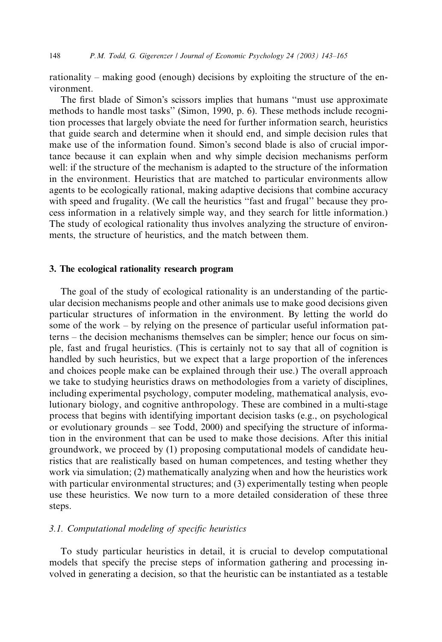rationality – making good (enough) decisions by exploiting the structure of the environment.

The first blade of Simon's scissors implies that humans "must use approximate" methods to handle most tasks'' (Simon, 1990, p. 6). These methods include recognition processes that largely obviate the need for further information search, heuristics that guide search and determine when it should end, and simple decision rules that make use of the information found. Simon's second blade is also of crucial importance because it can explain when and why simple decision mechanisms perform well: if the structure of the mechanism is adapted to the structure of the information in the environment. Heuristics that are matched to particular environments allow agents to be ecologically rational, making adaptive decisions that combine accuracy with speed and frugality. (We call the heuristics "fast and frugal" because they process information in a relatively simple way, and they search for little information.) The study of ecological rationality thus involves analyzing the structure of environments, the structure of heuristics, and the match between them.

#### 3. The ecological rationality research program

The goal of the study of ecological rationality is an understanding of the particular decision mechanisms people and other animals use to make good decisions given particular structures of information in the environment. By letting the world do some of the work – by relying on the presence of particular useful information patterns – the decision mechanisms themselves can be simpler; hence our focus on simple, fast and frugal heuristics. (This is certainly not to say that all of cognition is handled by such heuristics, but we expect that a large proportion of the inferences and choices people make can be explained through their use.) The overall approach we take to studying heuristics draws on methodologies from a variety of disciplines, including experimental psychology, computer modeling, mathematical analysis, evolutionary biology, and cognitive anthropology. These are combined in a multi-stage process that begins with identifying important decision tasks (e.g., on psychological or evolutionary grounds – see Todd, 2000) and specifying the structure of information in the environment that can be used to make those decisions. After this initial groundwork, we proceed by (1) proposing computational models of candidate heuristics that are realistically based on human competences, and testing whether they work via simulation; (2) mathematically analyzing when and how the heuristics work with particular environmental structures; and (3) experimentally testing when people use these heuristics. We now turn to a more detailed consideration of these three steps.

## 3.1. Computational modeling of specific heuristics

To study particular heuristics in detail, it is crucial to develop computational models that specify the precise steps of information gathering and processing involved in generating a decision, so that the heuristic can be instantiated as a testable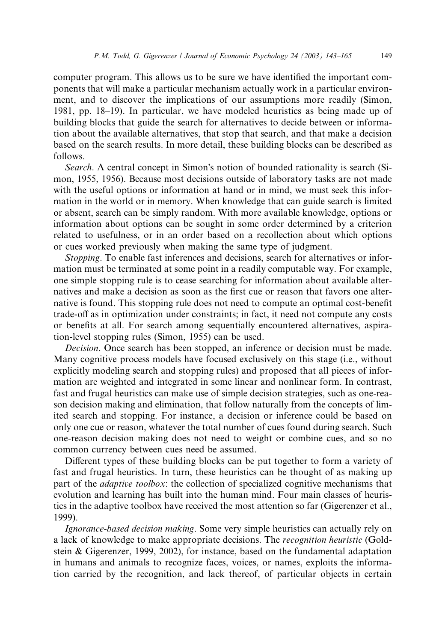computer program. This allows us to be sure we have identified the important components that will make a particular mechanism actually work in a particular environment, and to discover the implications of our assumptions more readily (Simon, 1981, pp. 18–19). In particular, we have modeled heuristics as being made up of building blocks that guide the search for alternatives to decide between or information about the available alternatives, that stop that search, and that make a decision based on the search results. In more detail, these building blocks can be described as follows.

Search. A central concept in Simon's notion of bounded rationality is search (Simon, 1955, 1956). Because most decisions outside of laboratory tasks are not made with the useful options or information at hand or in mind, we must seek this information in the world or in memory. When knowledge that can guide search is limited or absent, search can be simply random. With more available knowledge, options or information about options can be sought in some order determined by a criterion related to usefulness, or in an order based on a recollection about which options or cues worked previously when making the same type of judgment.

Stopping. To enable fast inferences and decisions, search for alternatives or information must be terminated at some point in a readily computable way. For example, one simple stopping rule is to cease searching for information about available alternatives and make a decision as soon as the first cue or reason that favors one alternative is found. This stopping rule does not need to compute an optimal cost-benefit trade-off as in optimization under constraints; in fact, it need not compute any costs or benefits at all. For search among sequentially encountered alternatives, aspiration-level stopping rules (Simon, 1955) can be used.

Decision. Once search has been stopped, an inference or decision must be made. Many cognitive process models have focused exclusively on this stage (i.e., without explicitly modeling search and stopping rules) and proposed that all pieces of information are weighted and integrated in some linear and nonlinear form. In contrast, fast and frugal heuristics can make use of simple decision strategies, such as one-reason decision making and elimination, that follow naturally from the concepts of limited search and stopping. For instance, a decision or inference could be based on only one cue or reason, whatever the total number of cues found during search. Such one-reason decision making does not need to weight or combine cues, and so no common currency between cues need be assumed.

Different types of these building blocks can be put together to form a variety of fast and frugal heuristics. In turn, these heuristics can be thought of as making up part of the *adaptive toolbox*: the collection of specialized cognitive mechanisms that evolution and learning has built into the human mind. Four main classes of heuristics in the adaptive toolbox have received the most attention so far (Gigerenzer et al., 1999).

Ignorance-based decision making. Some very simple heuristics can actually rely on a lack of knowledge to make appropriate decisions. The recognition heuristic (Goldstein & Gigerenzer, 1999, 2002), for instance, based on the fundamental adaptation in humans and animals to recognize faces, voices, or names, exploits the information carried by the recognition, and lack thereof, of particular objects in certain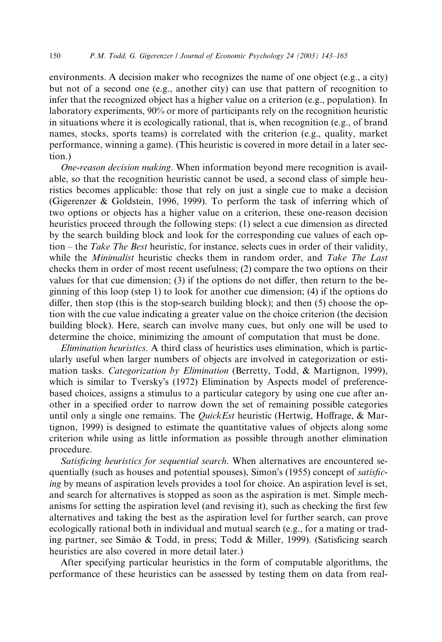environments. A decision maker who recognizes the name of one object (e.g., a city) but not of a second one (e.g., another city) can use that pattern of recognition to infer that the recognized object has a higher value on a criterion (e.g., population). In laboratory experiments, 90% or more of participants rely on the recognition heuristic in situations where it is ecologically rational, that is, when recognition (e.g., of brand names, stocks, sports teams) is correlated with the criterion (e.g., quality, market performance, winning a game). (This heuristic is covered in more detail in a later section.)

One-reason decision making. When information beyond mere recognition is available, so that the recognition heuristic cannot be used, a second class of simple heuristics becomes applicable: those that rely on just a single cue to make a decision (Gigerenzer & Goldstein, 1996, 1999). To perform the task of inferring which of two options or objects has a higher value on a criterion, these one-reason decision heuristics proceed through the following steps: (1) select a cue dimension as directed by the search building block and look for the corresponding cue values of each option – the Take The Best heuristic, for instance, selects cues in order of their validity, while the *Minimalist* heuristic checks them in random order, and *Take The Last* checks them in order of most recent usefulness; (2) compare the two options on their values for that cue dimension; (3) if the options do not differ, then return to the beginning of this loop (step 1) to look for another cue dimension; (4) if the options do differ, then stop (this is the stop-search building block); and then (5) choose the option with the cue value indicating a greater value on the choice criterion (the decision building block). Here, search can involve many cues, but only one will be used to determine the choice, minimizing the amount of computation that must be done.

Elimination heuristics. A third class of heuristics uses elimination, which is particularly useful when larger numbers of objects are involved in categorization or estimation tasks. Categorization by Elimination (Berretty, Todd, & Martignon, 1999), which is similar to Tversky's (1972) Elimination by Aspects model of preferencebased choices, assigns a stimulus to a particular category by using one cue after another in a specified order to narrow down the set of remaining possible categories until only a single one remains. The QuickEst heuristic (Hertwig, Hoffrage,  $\&$  Martignon, 1999) is designed to estimate the quantitative values of objects along some criterion while using as little information as possible through another elimination procedure.

Satisficing heuristics for sequential search. When alternatives are encountered sequentially (such as houses and potential spouses), Simon's (1955) concept of *satisfic*ing by means of aspiration levels provides a tool for choice. An aspiration level is set, and search for alternatives is stopped as soon as the aspiration is met. Simple mechanisms for setting the aspiration level (and revising it), such as checking the first few alternatives and taking the best as the aspiration level for further search, can prove ecologically rational both in individual and mutual search (e.g., for a mating or trading partner, see Simão & Todd, in press; Todd & Miller, 1999). (Satisficing search heuristics are also covered in more detail later.)

After specifying particular heuristics in the form of computable algorithms, the performance of these heuristics can be assessed by testing them on data from real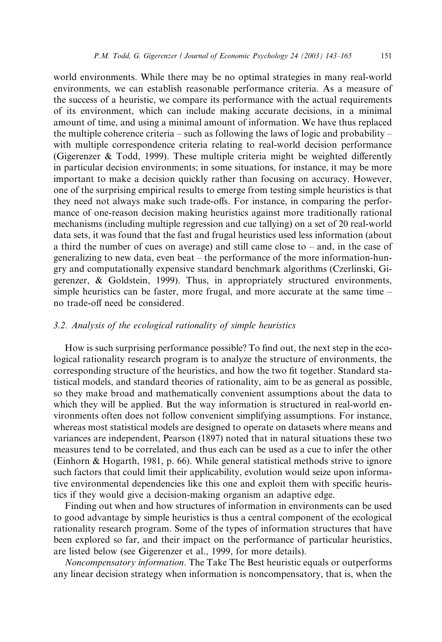world environments. While there may be no optimal strategies in many real-world environments, we can establish reasonable performance criteria. As a measure of the success of a heuristic, we compare its performance with the actual requirements of its environment, which can include making accurate decisions, in a minimal amount of time, and using a minimal amount of information. We have thus replaced the multiple coherence criteria – such as following the laws of logic and probability – with multiple correspondence criteria relating to real-world decision performance (Gigerenzer & Todd, 1999). These multiple criteria might be weighted differently in particular decision environments; in some situations, for instance, it may be more important to make a decision quickly rather than focusing on accuracy. However, one of the surprising empirical results to emerge from testing simple heuristics is that they need not always make such trade-offs. For instance, in comparing the performance of one-reason decision making heuristics against more traditionally rational mechanisms (including multiple regression and cue tallying) on a set of 20 real-world data sets, it was found that the fast and frugal heuristics used less information (about a third the number of cues on average) and still came close to – and, in the case of generalizing to new data, even beat – the performance of the more information-hungry and computationally expensive standard benchmark algorithms (Czerlinski, Gigerenzer, & Goldstein, 1999). Thus, in appropriately structured environments, simple heuristics can be faster, more frugal, and more accurate at the same time – no trade-off need be considered.

#### 3.2. Analysis of the ecological rationality of simple heuristics

How is such surprising performance possible? To find out, the next step in the ecological rationality research program is to analyze the structure of environments, the corresponding structure of the heuristics, and how the two fit together. Standard statistical models, and standard theories of rationality, aim to be as general as possible, so they make broad and mathematically convenient assumptions about the data to which they will be applied. But the way information is structured in real-world environments often does not follow convenient simplifying assumptions. For instance, whereas most statistical models are designed to operate on datasets where means and variances are independent, Pearson (1897) noted that in natural situations these two measures tend to be correlated, and thus each can be used as a cue to infer the other (Einhorn & Hogarth, 1981, p. 66). While general statistical methods strive to ignore such factors that could limit their applicability, evolution would seize upon informative environmental dependencies like this one and exploit them with specific heuristics if they would give a decision-making organism an adaptive edge.

Finding out when and how structures of information in environments can be used to good advantage by simple heuristics is thus a central component of the ecological rationality research program. Some of the types of information structures that have been explored so far, and their impact on the performance of particular heuristics, are listed below (see Gigerenzer et al., 1999, for more details).

Noncompensatory information. The Take The Best heuristic equals or outperforms any linear decision strategy when information is noncompensatory, that is, when the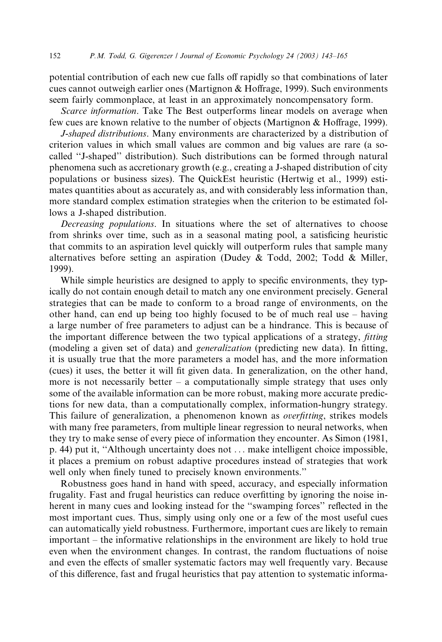potential contribution of each new cue falls off rapidly so that combinations of later cues cannot outweigh earlier ones (Martignon  $&$  Hoffrage, 1999). Such environments seem fairly commonplace, at least in an approximately noncompensatory form.

Scarce information. Take The Best outperforms linear models on average when few cues are known relative to the number of objects (Martignon & Hoffrage, 1999).

J-shaped distributions. Many environments are characterized by a distribution of criterion values in which small values are common and big values are rare (a socalled ''J-shaped'' distribution). Such distributions can be formed through natural phenomena such as accretionary growth (e.g., creating a J-shaped distribution of city populations or business sizes). The QuickEst heuristic (Hertwig et al., 1999) estimates quantities about as accurately as, and with considerably less information than, more standard complex estimation strategies when the criterion to be estimated follows a J-shaped distribution.

Decreasing populations. In situations where the set of alternatives to choose from shrinks over time, such as in a seasonal mating pool, a satisficing heuristic that commits to an aspiration level quickly will outperform rules that sample many alternatives before setting an aspiration (Dudey & Todd, 2002; Todd & Miller, 1999).

While simple heuristics are designed to apply to specific environments, they typically do not contain enough detail to match any one environment precisely. General strategies that can be made to conform to a broad range of environments, on the other hand, can end up being too highly focused to be of much real use – having a large number of free parameters to adjust can be a hindrance. This is because of the important difference between the two typical applications of a strategy, *fitting* (modeling a given set of data) and generalization (predicting new data). In fitting, it is usually true that the more parameters a model has, and the more information (cues) it uses, the better it will fit given data. In generalization, on the other hand, more is not necessarily better  $-$  a computationally simple strategy that uses only some of the available information can be more robust, making more accurate predictions for new data, than a computationally complex, information-hungry strategy. This failure of generalization, a phenomenon known as *overfitting*, strikes models with many free parameters, from multiple linear regression to neural networks, when they try to make sense of every piece of information they encounter. As Simon (1981, p. 44) put it, ''Although uncertainty does not ... make intelligent choice impossible, it places a premium on robust adaptive procedures instead of strategies that work well only when finely tuned to precisely known environments.''

Robustness goes hand in hand with speed, accuracy, and especially information frugality. Fast and frugal heuristics can reduce overfitting by ignoring the noise inherent in many cues and looking instead for the ''swamping forces'' reflected in the most important cues. Thus, simply using only one or a few of the most useful cues can automatically yield robustness. Furthermore, important cues are likely to remain important – the informative relationships in the environment are likely to hold true even when the environment changes. In contrast, the random fluctuations of noise and even the effects of smaller systematic factors may well frequently vary. Because of this difference, fast and frugal heuristics that pay attention to systematic informa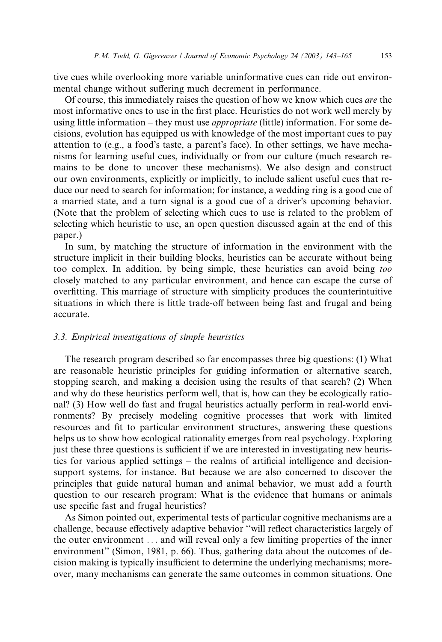tive cues while overlooking more variable uninformative cues can ride out environmental change without suffering much decrement in performance.

Of course, this immediately raises the question of how we know which cues are the most informative ones to use in the first place. Heuristics do not work well merely by using little information – they must use *appropriate* (little) information. For some decisions, evolution has equipped us with knowledge of the most important cues to pay attention to  $(e.g., a food's taste, a parent's face)$ . In other settings, we have mechanisms for learning useful cues, individually or from our culture (much research remains to be done to uncover these mechanisms). We also design and construct our own environments, explicitly or implicitly, to include salient useful cues that reduce our need to search for information; for instance, a wedding ring is a good cue of a married state, and a turn signal is a good cue of a driver's upcoming behavior. (Note that the problem of selecting which cues to use is related to the problem of selecting which heuristic to use, an open question discussed again at the end of this paper.)

In sum, by matching the structure of information in the environment with the structure implicit in their building blocks, heuristics can be accurate without being too complex. In addition, by being simple, these heuristics can avoid being too closely matched to any particular environment, and hence can escape the curse of overfitting. This marriage of structure with simplicity produces the counterintuitive situations in which there is little trade-off between being fast and frugal and being accurate.

## 3.3. Empirical investigations of simple heuristics

The research program described so far encompasses three big questions: (1) What are reasonable heuristic principles for guiding information or alternative search, stopping search, and making a decision using the results of that search? (2) When and why do these heuristics perform well, that is, how can they be ecologically rational? (3) How well do fast and frugal heuristics actually perform in real-world environments? By precisely modeling cognitive processes that work with limited resources and fit to particular environment structures, answering these questions helps us to show how ecological rationality emerges from real psychology. Exploring just these three questions is sufficient if we are interested in investigating new heuristics for various applied settings – the realms of artificial intelligence and decisionsupport systems, for instance. But because we are also concerned to discover the principles that guide natural human and animal behavior, we must add a fourth question to our research program: What is the evidence that humans or animals use specific fast and frugal heuristics?

As Simon pointed out, experimental tests of particular cognitive mechanisms are a challenge, because effectively adaptive behavior ''will reflect characteristics largely of the outer environment ... and will reveal only a few limiting properties of the inner environment'' (Simon, 1981, p. 66). Thus, gathering data about the outcomes of decision making is typically insufficient to determine the underlying mechanisms; moreover, many mechanisms can generate the same outcomes in common situations. One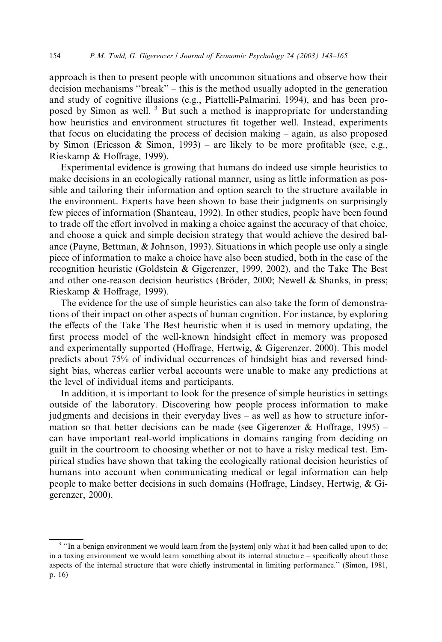approach is then to present people with uncommon situations and observe how their decision mechanisms ''break'' – this is the method usually adopted in the generation and study of cognitive illusions (e.g., Piattelli-Palmarini, 1994), and has been proposed by Simon as well.<sup>3</sup> But such a method is inappropriate for understanding how heuristics and environment structures fit together well. Instead, experiments that focus on elucidating the process of decision making – again, as also proposed by Simon (Ericsson & Simon, 1993) – are likely to be more profitable (see, e.g., Rieskamp & Hoffrage, 1999).

Experimental evidence is growing that humans do indeed use simple heuristics to make decisions in an ecologically rational manner, using as little information as possible and tailoring their information and option search to the structure available in the environment. Experts have been shown to base their judgments on surprisingly few pieces of information (Shanteau, 1992). In other studies, people have been found to trade off the effort involved in making a choice against the accuracy of that choice, and choose a quick and simple decision strategy that would achieve the desired balance (Payne, Bettman, & Johnson, 1993). Situations in which people use only a single piece of information to make a choice have also been studied, both in the case of the recognition heuristic (Goldstein & Gigerenzer, 1999, 2002), and the Take The Best and other one-reason decision heuristics (Bröder, 2000; Newell  $\&$  Shanks, in press; Rieskamp & Hoffrage, 1999).

The evidence for the use of simple heuristics can also take the form of demonstrations of their impact on other aspects of human cognition. For instance, by exploring the effects of the Take The Best heuristic when it is used in memory updating, the first process model of the well-known hindsight effect in memory was proposed and experimentally supported (Hoffrage, Hertwig, & Gigerenzer, 2000). This model predicts about 75% of individual occurrences of hindsight bias and reversed hindsight bias, whereas earlier verbal accounts were unable to make any predictions at the level of individual items and participants.

In addition, it is important to look for the presence of simple heuristics in settings outside of the laboratory. Discovering how people process information to make judgments and decisions in their everyday lives – as well as how to structure information so that better decisions can be made (see Gigerenzer & Hoffrage, 1995) – can have important real-world implications in domains ranging from deciding on guilt in the courtroom to choosing whether or not to have a risky medical test. Empirical studies have shown that taking the ecologically rational decision heuristics of humans into account when communicating medical or legal information can help people to make better decisions in such domains (Hoffrage, Lindsey, Hertwig, & Gigerenzer, 2000).

<sup>&</sup>lt;sup>3</sup> "In a benign environment we would learn from the [system] only what it had been called upon to do; in a taxing environment we would learn something about its internal structure – specifically about those aspects of the internal structure that were chiefly instrumental in limiting performance.'' (Simon, 1981, p. 16)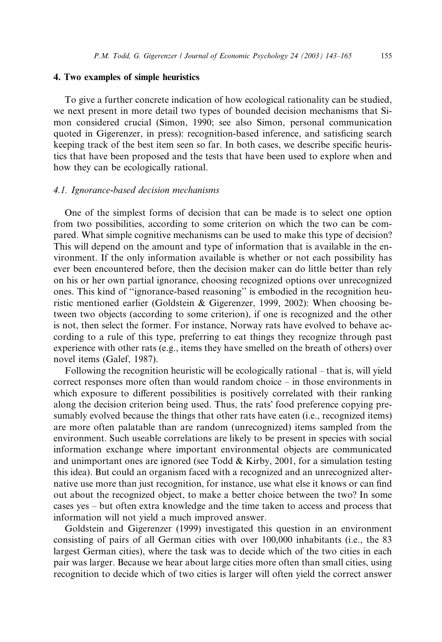#### 4. Two examples of simple heuristics

To give a further concrete indication of how ecological rationality can be studied, we next present in more detail two types of bounded decision mechanisms that Simon considered crucial (Simon, 1990; see also Simon, personal communication quoted in Gigerenzer, in press): recognition-based inference, and satisficing search keeping track of the best item seen so far. In both cases, we describe specific heuristics that have been proposed and the tests that have been used to explore when and how they can be ecologically rational.

#### 4.1. Ignorance-based decision mechanisms

One of the simplest forms of decision that can be made is to select one option from two possibilities, according to some criterion on which the two can be compared. What simple cognitive mechanisms can be used to make this type of decision? This will depend on the amount and type of information that is available in the environment. If the only information available is whether or not each possibility has ever been encountered before, then the decision maker can do little better than rely on his or her own partial ignorance, choosing recognized options over unrecognized ones. This kind of ''ignorance-based reasoning'' is embodied in the recognition heuristic mentioned earlier (Goldstein & Gigerenzer, 1999, 2002): When choosing between two objects (according to some criterion), if one is recognized and the other is not, then select the former. For instance, Norway rats have evolved to behave according to a rule of this type, preferring to eat things they recognize through past experience with other rats (e.g., items they have smelled on the breath of others) over novel items (Galef, 1987).

Following the recognition heuristic will be ecologically rational – that is, will yield correct responses more often than would random choice – in those environments in which exposure to different possibilities is positively correlated with their ranking along the decision criterion being used. Thus, the rats' food preference copying presumably evolved because the things that other rats have eaten (i.e., recognized items) are more often palatable than are random (unrecognized) items sampled from the environment. Such useable correlations are likely to be present in species with social information exchange where important environmental objects are communicated and unimportant ones are ignored (see Todd  $&$  Kirby, 2001, for a simulation testing this idea). But could an organism faced with a recognized and an unrecognized alternative use more than just recognition, for instance, use what else it knows or can find out about the recognized object, to make a better choice between the two? In some cases yes – but often extra knowledge and the time taken to access and process that information will not yield a much improved answer.

Goldstein and Gigerenzer (1999) investigated this question in an environment consisting of pairs of all German cities with over 100,000 inhabitants (i.e., the 83 largest German cities), where the task was to decide which of the two cities in each pair was larger. Because we hear about large cities more often than small cities, using recognition to decide which of two cities is larger will often yield the correct answer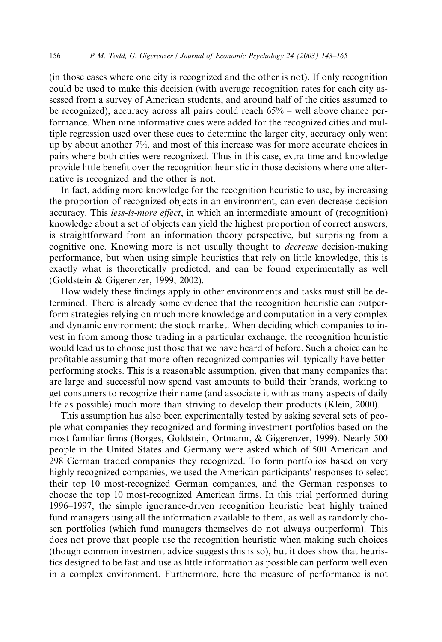(in those cases where one city is recognized and the other is not). If only recognition could be used to make this decision (with average recognition rates for each city assessed from a survey of American students, and around half of the cities assumed to be recognized), accuracy across all pairs could reach  $65%$  – well above chance performance. When nine informative cues were added for the recognized cities and multiple regression used over these cues to determine the larger city, accuracy only went up by about another 7%, and most of this increase was for more accurate choices in pairs where both cities were recognized. Thus in this case, extra time and knowledge provide little benefit over the recognition heuristic in those decisions where one alternative is recognized and the other is not.

In fact, adding more knowledge for the recognition heuristic to use, by increasing the proportion of recognized objects in an environment, can even decrease decision accuracy. This less-is-more effect, in which an intermediate amount of (recognition) knowledge about a set of objects can yield the highest proportion of correct answers, is straightforward from an information theory perspective, but surprising from a cognitive one. Knowing more is not usually thought to *decrease* decision-making performance, but when using simple heuristics that rely on little knowledge, this is exactly what is theoretically predicted, and can be found experimentally as well (Goldstein & Gigerenzer, 1999, 2002).

How widely these findings apply in other environments and tasks must still be determined. There is already some evidence that the recognition heuristic can outperform strategies relying on much more knowledge and computation in a very complex and dynamic environment: the stock market. When deciding which companies to invest in from among those trading in a particular exchange, the recognition heuristic would lead us to choose just those that we have heard of before. Such a choice can be profitable assuming that more-often-recognized companies will typically have betterperforming stocks. This is a reasonable assumption, given that many companies that are large and successful now spend vast amounts to build their brands, working to get consumers to recognize their name (and associate it with as many aspects of daily life as possible) much more than striving to develop their products (Klein, 2000).

This assumption has also been experimentally tested by asking several sets of people what companies they recognized and forming investment portfolios based on the most familiar firms (Borges, Goldstein, Ortmann, & Gigerenzer, 1999). Nearly 500 people in the United States and Germany were asked which of 500 American and 298 German traded companies they recognized. To form portfolios based on very highly recognized companies, we used the American participants' responses to select their top 10 most-recognized German companies, and the German responses to choose the top 10 most-recognized American firms. In this trial performed during 1996–1997, the simple ignorance-driven recognition heuristic beat highly trained fund managers using all the information available to them, as well as randomly chosen portfolios (which fund managers themselves do not always outperform). This does not prove that people use the recognition heuristic when making such choices (though common investment advice suggests this is so), but it does show that heuristics designed to be fast and use as little information as possible can perform well even in a complex environment. Furthermore, here the measure of performance is not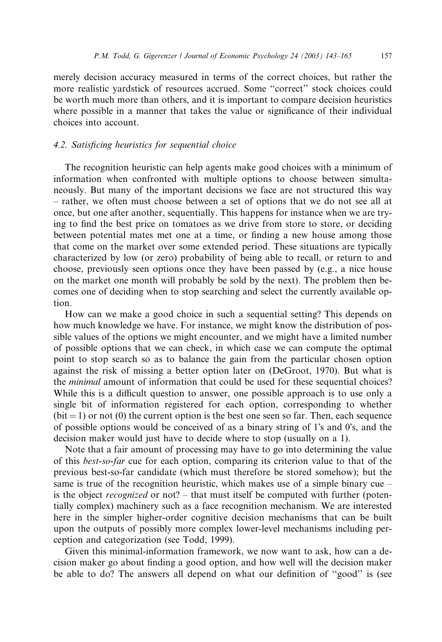merely decision accuracy measured in terms of the correct choices, but rather the more realistic yardstick of resources accrued. Some ''correct'' stock choices could be worth much more than others, and it is important to compare decision heuristics where possible in a manner that takes the value or significance of their individual choices into account.

### 4.2. Satisficing heuristics for sequential choice

The recognition heuristic can help agents make good choices with a minimum of information when confronted with multiple options to choose between simultaneously. But many of the important decisions we face are not structured this way – rather, we often must choose between a set of options that we do not see all at once, but one after another, sequentially. This happens for instance when we are trying to find the best price on tomatoes as we drive from store to store, or deciding between potential mates met one at a time, or finding a new house among those that come on the market over some extended period. These situations are typically characterized by low (or zero) probability of being able to recall, or return to and choose, previously seen options once they have been passed by (e.g., a nice house on the market one month will probably be sold by the next). The problem then becomes one of deciding when to stop searching and select the currently available option.

How can we make a good choice in such a sequential setting? This depends on how much knowledge we have. For instance, we might know the distribution of possible values of the options we might encounter, and we might have a limited number of possible options that we can check, in which case we can compute the optimal point to stop search so as to balance the gain from the particular chosen option against the risk of missing a better option later on (DeGroot, 1970). But what is the minimal amount of information that could be used for these sequential choices? While this is a difficult question to answer, one possible approach is to use only a single bit of information registered for each option, corresponding to whether  $(bit = 1)$  or not  $(0)$  the current option is the best one seen so far. Then, each sequence of possible options would be conceived of as a binary string of 1's and 0's, and the decision maker would just have to decide where to stop (usually on a 1).

Note that a fair amount of processing may have to go into determining the value of this best-so-far cue for each option, comparing its criterion value to that of the previous best-so-far candidate (which must therefore be stored somehow); but the same is true of the recognition heuristic, which makes use of a simple binary cue – is the object recognized or not? – that must itself be computed with further (potentially complex) machinery such as a face recognition mechanism. We are interested here in the simpler higher-order cognitive decision mechanisms that can be built upon the outputs of possibly more complex lower-level mechanisms including perception and categorization (see Todd, 1999).

Given this minimal-information framework, we now want to ask, how can a decision maker go about finding a good option, and how well will the decision maker be able to do? The answers all depend on what our definition of ''good'' is (see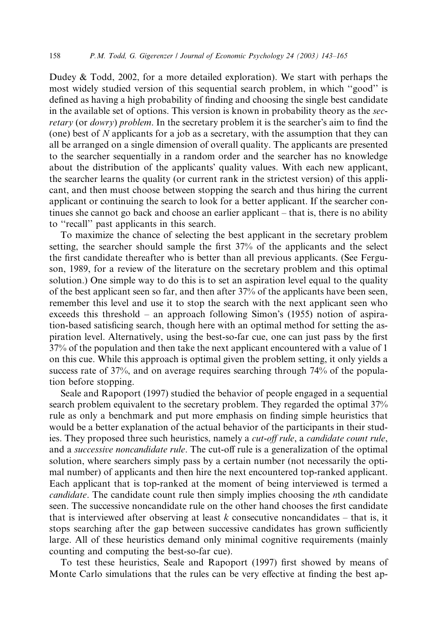Dudey & Todd, 2002, for a more detailed exploration). We start with perhaps the most widely studied version of this sequential search problem, in which ''good'' is defined as having a high probability of finding and choosing the single best candidate in the available set of options. This version is known in probability theory as the *secretary* (or *dowry*) *problem*. In the secretary problem it is the searcher's aim to find the (one) best of N applicants for a job as a secretary, with the assumption that they can all be arranged on a single dimension of overall quality. The applicants are presented to the searcher sequentially in a random order and the searcher has no knowledge about the distribution of the applicants' quality values. With each new applicant, the searcher learns the quality (or current rank in the strictest version) of this applicant, and then must choose between stopping the search and thus hiring the current applicant or continuing the search to look for a better applicant. If the searcher continues she cannot go back and choose an earlier applicant – that is, there is no ability to ''recall'' past applicants in this search.

To maximize the chance of selecting the best applicant in the secretary problem setting, the searcher should sample the first 37% of the applicants and the select the first candidate thereafter who is better than all previous applicants. (See Ferguson, 1989, for a review of the literature on the secretary problem and this optimal solution.) One simple way to do this is to set an aspiration level equal to the quality of the best applicant seen so far, and then after 37% of the applicants have been seen, remember this level and use it to stop the search with the next applicant seen who exceeds this threshold – an approach following Simon's  $(1955)$  notion of aspiration-based satisficing search, though here with an optimal method for setting the aspiration level. Alternatively, using the best-so-far cue, one can just pass by the first 37% of the population and then take the next applicant encountered with a value of 1 on this cue. While this approach is optimal given the problem setting, it only yields a success rate of 37%, and on average requires searching through 74% of the population before stopping.

Seale and Rapoport (1997) studied the behavior of people engaged in a sequential search problem equivalent to the secretary problem. They regarded the optimal 37% rule as only a benchmark and put more emphasis on finding simple heuristics that would be a better explanation of the actual behavior of the participants in their studies. They proposed three such heuristics, namely a *cut-off rule*, a *candidate count rule*, and a successive noncandidate rule. The cut-off rule is a generalization of the optimal solution, where searchers simply pass by a certain number (not necessarily the optimal number) of applicants and then hire the next encountered top-ranked applicant. Each applicant that is top-ranked at the moment of being interviewed is termed a candidate. The candidate count rule then simply implies choosing the nth candidate seen. The successive noncandidate rule on the other hand chooses the first candidate that is interviewed after observing at least  $k$  consecutive noncandidates – that is, it stops searching after the gap between successive candidates has grown sufficiently large. All of these heuristics demand only minimal cognitive requirements (mainly counting and computing the best-so-far cue).

To test these heuristics, Seale and Rapoport (1997) first showed by means of Monte Carlo simulations that the rules can be very effective at finding the best ap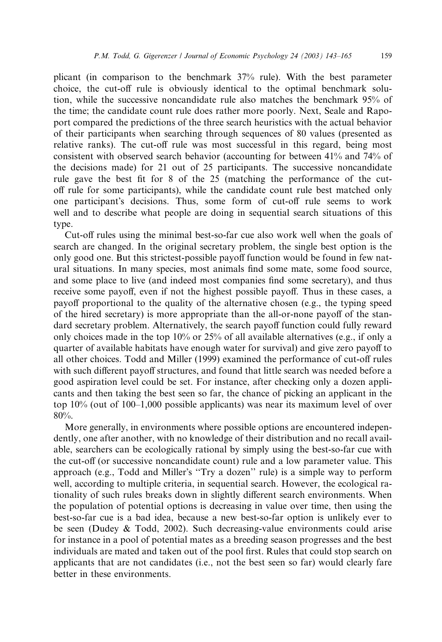plicant (in comparison to the benchmark 37% rule). With the best parameter choice, the cut-off rule is obviously identical to the optimal benchmark solution, while the successive noncandidate rule also matches the benchmark 95% of the time; the candidate count rule does rather more poorly. Next, Seale and Rapoport compared the predictions of the three search heuristics with the actual behavior of their participants when searching through sequences of 80 values (presented as relative ranks). The cut-off rule was most successful in this regard, being most consistent with observed search behavior (accounting for between 41% and 74% of the decisions made) for 21 out of 25 participants. The successive noncandidate rule gave the best fit for 8 of the 25 (matching the performance of the cutoff rule for some participants), while the candidate count rule best matched only one participant's decisions. Thus, some form of cut-off rule seems to work well and to describe what people are doing in sequential search situations of this type.

Cut-off rules using the minimal best-so-far cue also work well when the goals of search are changed. In the original secretary problem, the single best option is the only good one. But this strictest-possible payoff function would be found in few natural situations. In many species, most animals find some mate, some food source, and some place to live (and indeed most companies find some secretary), and thus receive some payoff, even if not the highest possible payoff. Thus in these cases, a payoff proportional to the quality of the alternative chosen (e.g., the typing speed of the hired secretary) is more appropriate than the all-or-none payoff of the standard secretary problem. Alternatively, the search payoff function could fully reward only choices made in the top 10% or 25% of all available alternatives (e.g., if only a quarter of available habitats have enough water for survival) and give zero payoff to all other choices. Todd and Miller (1999) examined the performance of cut-off rules with such different payoff structures, and found that little search was needed before a good aspiration level could be set. For instance, after checking only a dozen applicants and then taking the best seen so far, the chance of picking an applicant in the top 10% (out of 100–1,000 possible applicants) was near its maximum level of over 80%.

More generally, in environments where possible options are encountered independently, one after another, with no knowledge of their distribution and no recall available, searchers can be ecologically rational by simply using the best-so-far cue with the cut-off (or successive noncandidate count) rule and a low parameter value. This approach (e.g., Todd and Miller's "Try a dozen" rule) is a simple way to perform well, according to multiple criteria, in sequential search. However, the ecological rationality of such rules breaks down in slightly different search environments. When the population of potential options is decreasing in value over time, then using the best-so-far cue is a bad idea, because a new best-so-far option is unlikely ever to be seen (Dudey & Todd, 2002). Such decreasing-value environments could arise for instance in a pool of potential mates as a breeding season progresses and the best individuals are mated and taken out of the pool first. Rules that could stop search on applicants that are not candidates (i.e., not the best seen so far) would clearly fare better in these environments.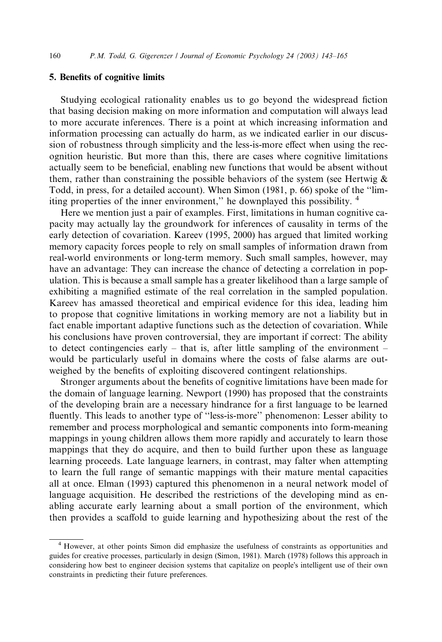## 5. Benefits of cognitive limits

Studying ecological rationality enables us to go beyond the widespread fiction that basing decision making on more information and computation will always lead to more accurate inferences. There is a point at which increasing information and information processing can actually do harm, as we indicated earlier in our discussion of robustness through simplicity and the less-is-more effect when using the recognition heuristic. But more than this, there are cases where cognitive limitations actually seem to be beneficial, enabling new functions that would be absent without them, rather than constraining the possible behaviors of the system (see Hertwig  $\&$ Todd, in press, for a detailed account). When Simon (1981, p. 66) spoke of the ''limiting properties of the inner environment,'' he downplayed this possibility. <sup>4</sup>

Here we mention just a pair of examples. First, limitations in human cognitive capacity may actually lay the groundwork for inferences of causality in terms of the early detection of covariation. Kareev (1995, 2000) has argued that limited working memory capacity forces people to rely on small samples of information drawn from real-world environments or long-term memory. Such small samples, however, may have an advantage: They can increase the chance of detecting a correlation in population. This is because a small sample has a greater likelihood than a large sample of exhibiting a magnified estimate of the real correlation in the sampled population. Kareev has amassed theoretical and empirical evidence for this idea, leading him to propose that cognitive limitations in working memory are not a liability but in fact enable important adaptive functions such as the detection of covariation. While his conclusions have proven controversial, they are important if correct: The ability to detect contingencies early – that is, after little sampling of the environment – would be particularly useful in domains where the costs of false alarms are outweighed by the benefits of exploiting discovered contingent relationships.

Stronger arguments about the benefits of cognitive limitations have been made for the domain of language learning. Newport (1990) has proposed that the constraints of the developing brain are a necessary hindrance for a first language to be learned fluently. This leads to another type of ''less-is-more'' phenomenon: Lesser ability to remember and process morphological and semantic components into form-meaning mappings in young children allows them more rapidly and accurately to learn those mappings that they do acquire, and then to build further upon these as language learning proceeds. Late language learners, in contrast, may falter when attempting to learn the full range of semantic mappings with their mature mental capacities all at once. Elman (1993) captured this phenomenon in a neural network model of language acquisition. He described the restrictions of the developing mind as enabling accurate early learning about a small portion of the environment, which then provides a scaffold to guide learning and hypothesizing about the rest of the

<sup>4</sup> However, at other points Simon did emphasize the usefulness of constraints as opportunities and guides for creative processes, particularly in design (Simon, 1981). March (1978) follows this approach in considering how best to engineer decision systems that capitalize on peoples intelligent use of their own constraints in predicting their future preferences.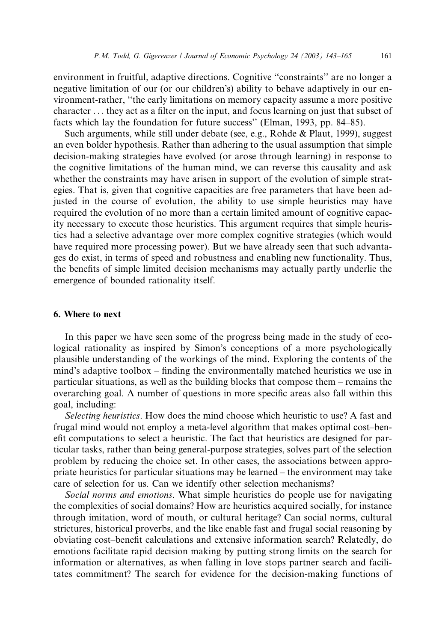environment in fruitful, adaptive directions. Cognitive ''constraints'' are no longer a negative limitation of our (or our children's) ability to behave adaptively in our environment-rather, ''the early limitations on memory capacity assume a more positive character ... they act as a filter on the input, and focus learning on just that subset of facts which lay the foundation for future success'' (Elman, 1993, pp. 84–85).

Such arguments, while still under debate (see, e.g., Rohde & Plaut, 1999), suggest an even bolder hypothesis. Rather than adhering to the usual assumption that simple decision-making strategies have evolved (or arose through learning) in response to the cognitive limitations of the human mind, we can reverse this causality and ask whether the constraints may have arisen in support of the evolution of simple strategies. That is, given that cognitive capacities are free parameters that have been adjusted in the course of evolution, the ability to use simple heuristics may have required the evolution of no more than a certain limited amount of cognitive capacity necessary to execute those heuristics. This argument requires that simple heuristics had a selective advantage over more complex cognitive strategies (which would have required more processing power). But we have already seen that such advantages do exist, in terms of speed and robustness and enabling new functionality. Thus, the benefits of simple limited decision mechanisms may actually partly underlie the emergence of bounded rationality itself.

#### 6. Where to next

In this paper we have seen some of the progress being made in the study of ecological rationality as inspired by Simon's conceptions of a more psychologically plausible understanding of the workings of the mind. Exploring the contents of the mind's adaptive toolbox – finding the environmentally matched heuristics we use in particular situations, as well as the building blocks that compose them – remains the overarching goal. A number of questions in more specific areas also fall within this goal, including:

Selecting heuristics. How does the mind choose which heuristic to use? A fast and frugal mind would not employ a meta-level algorithm that makes optimal cost–benefit computations to select a heuristic. The fact that heuristics are designed for particular tasks, rather than being general-purpose strategies, solves part of the selection problem by reducing the choice set. In other cases, the associations between appropriate heuristics for particular situations may be learned – the environment may take care of selection for us. Can we identify other selection mechanisms?

Social norms and emotions. What simple heuristics do people use for navigating the complexities of social domains? How are heuristics acquired socially, for instance through imitation, word of mouth, or cultural heritage? Can social norms, cultural strictures, historical proverbs, and the like enable fast and frugal social reasoning by obviating cost–benefit calculations and extensive information search? Relatedly, do emotions facilitate rapid decision making by putting strong limits on the search for information or alternatives, as when falling in love stops partner search and facilitates commitment? The search for evidence for the decision-making functions of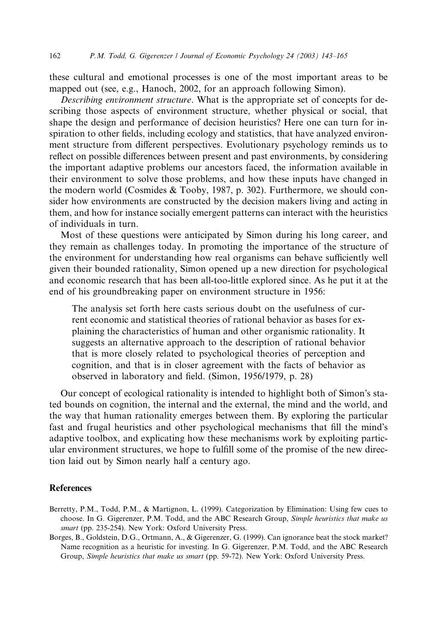these cultural and emotional processes is one of the most important areas to be mapped out (see, e.g., Hanoch, 2002, for an approach following Simon).

Describing environment structure. What is the appropriate set of concepts for describing those aspects of environment structure, whether physical or social, that shape the design and performance of decision heuristics? Here one can turn for inspiration to other fields, including ecology and statistics, that have analyzed environment structure from different perspectives. Evolutionary psychology reminds us to reflect on possible differences between present and past environments, by considering the important adaptive problems our ancestors faced, the information available in their environment to solve those problems, and how these inputs have changed in the modern world (Cosmides & Tooby, 1987, p. 302). Furthermore, we should consider how environments are constructed by the decision makers living and acting in them, and how for instance socially emergent patterns can interact with the heuristics of individuals in turn.

Most of these questions were anticipated by Simon during his long career, and they remain as challenges today. In promoting the importance of the structure of the environment for understanding how real organisms can behave sufficiently well given their bounded rationality, Simon opened up a new direction for psychological and economic research that has been all-too-little explored since. As he put it at the end of his groundbreaking paper on environment structure in 1956:

The analysis set forth here casts serious doubt on the usefulness of current economic and statistical theories of rational behavior as bases for explaining the characteristics of human and other organismic rationality. It suggests an alternative approach to the description of rational behavior that is more closely related to psychological theories of perception and cognition, and that is in closer agreement with the facts of behavior as observed in laboratory and field. (Simon, 1956/1979, p. 28)

Our concept of ecological rationality is intended to highlight both of Simon's stated bounds on cognition, the internal and the external, the mind and the world, and the way that human rationality emerges between them. By exploring the particular fast and frugal heuristics and other psychological mechanisms that fill the mind's adaptive toolbox, and explicating how these mechanisms work by exploiting particular environment structures, we hope to fulfill some of the promise of the new direction laid out by Simon nearly half a century ago.

## **References**

- Berretty, P.M., Todd, P.M., & Martignon, L. (1999). Categorization by Elimination: Using few cues to choose. In G. Gigerenzer, P.M. Todd, and the ABC Research Group, Simple heuristics that make us smart (pp. 235-254). New York: Oxford University Press.
- Borges, B., Goldstein, D.G., Ortmann, A., & Gigerenzer, G. (1999). Can ignorance beat the stock market? Name recognition as a heuristic for investing. In G. Gigerenzer, P.M. Todd, and the ABC Research Group, Simple heuristics that make us smart (pp. 59-72). New York: Oxford University Press.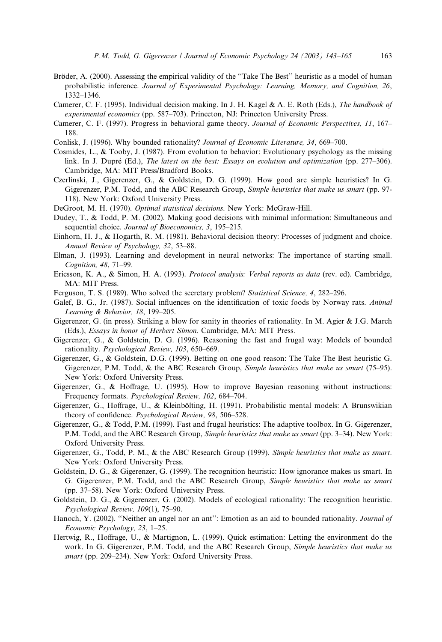- Bröder, A. (2000). Assessing the empirical validity of the "Take The Best" heuristic as a model of human probabilistic inference. Journal of Experimental Psychology: Learning, Memory, and Cognition, 26, 1332–1346.
- Camerer, C. F. (1995). Individual decision making. In J. H. Kagel & A. E. Roth (Eds.), The handbook of experimental economics (pp. 587-703). Princeton, NJ: Princeton University Press.
- Camerer, C. F. (1997). Progress in behavioral game theory. Journal of Economic Perspectives, 11, 167– 188.
- Conlisk, J. (1996). Why bounded rationality? Journal of Economic Literature, 34, 669–700.
- Cosmides, L., & Tooby, J. (1987). From evolution to behavior: Evolutionary psychology as the missing link. In J. Dupré (Ed.), The latest on the best: Essays on evolution and optimization (pp. 277-306). Cambridge, MA: MIT Press/Bradford Books.
- Czerlinski, J., Gigerenzer, G., & Goldstein, D. G. (1999). How good are simple heuristics? In G. Gigerenzer, P.M. Todd, and the ABC Research Group, *Simple heuristics that make us smart* (pp. 97-118). New York: Oxford University Press.
- DeGroot, M. H. (1970). Optimal statistical decisions. New York: McGraw-Hill.
- Dudey, T., & Todd, P. M. (2002). Making good decisions with minimal information: Simultaneous and sequential choice. Journal of Bioeconomics, 3, 195-215.
- Einhorn, H. J., & Hogarth, R. M. (1981). Behavioral decision theory: Processes of judgment and choice. Annual Review of Psychology, 32, 53–88.
- Elman, J. (1993). Learning and development in neural networks: The importance of starting small. Cognition, 48, 71–99.
- Ericsson, K. A., & Simon, H. A. (1993). Protocol analysis: Verbal reports as data (rev. ed). Cambridge, MA: MIT Press.
- Ferguson, T. S. (1989). Who solved the secretary problem? Statistical Science, 4, 282–296.
- Galef, B. G., Jr. (1987). Social influences on the identification of toxic foods by Norway rats. Animal Learning & Behavior, 18, 199–205.
- Gigerenzer, G. (in press). Striking a blow for sanity in theories of rationality. In M. Agier & J.G. March (Eds.), Essays in honor of Herbert Simon. Cambridge, MA: MIT Press.
- Gigerenzer, G., & Goldstein, D. G. (1996). Reasoning the fast and frugal way: Models of bounded rationality. Psychological Review, 103, 650–669.
- Gigerenzer, G., & Goldstein, D.G. (1999). Betting on one good reason: The Take The Best heuristic G. Gigerenzer, P.M. Todd, & the ABC Research Group, Simple heuristics that make us smart (75–95). New York: Oxford University Press.
- Gigerenzer, G., & Hoffrage, U. (1995). How to improve Bayesian reasoning without instructions: Frequency formats. Psychological Review, 102, 684–704.
- Gigerenzer, G., Hoffrage, U., & Kleinbölting, H. (1991). Probabilistic mental models: A Brunswikian theory of confidence. Psychological Review, 98, 506–528.
- Gigerenzer, G., & Todd, P.M. (1999). Fast and frugal heuristics: The adaptive toolbox. In G. Gigerenzer, P.M. Todd, and the ABC Research Group, Simple heuristics that make us smart (pp. 3-34). New York: Oxford University Press.
- Gigerenzer, G., Todd, P. M., & the ABC Research Group (1999). Simple heuristics that make us smart. New York: Oxford University Press.
- Goldstein, D. G., & Gigerenzer, G. (1999). The recognition heuristic: How ignorance makes us smart. In G. Gigerenzer, P.M. Todd, and the ABC Research Group, Simple heuristics that make us smart (pp. 37–58). New York: Oxford University Press.
- Goldstein, D. G., & Gigerenzer, G. (2002). Models of ecological rationality: The recognition heuristic. Psychological Review, 109(1), 75–90.
- Hanoch, Y. (2002). "Neither an angel nor an ant": Emotion as an aid to bounded rationality. Journal of Economic Psychology, 23, 1–25.
- Hertwig, R., Hoffrage, U., & Martignon, L. (1999). Quick estimation: Letting the environment do the work. In G. Gigerenzer, P.M. Todd, and the ABC Research Group, Simple heuristics that make us smart (pp. 209–234). New York: Oxford University Press.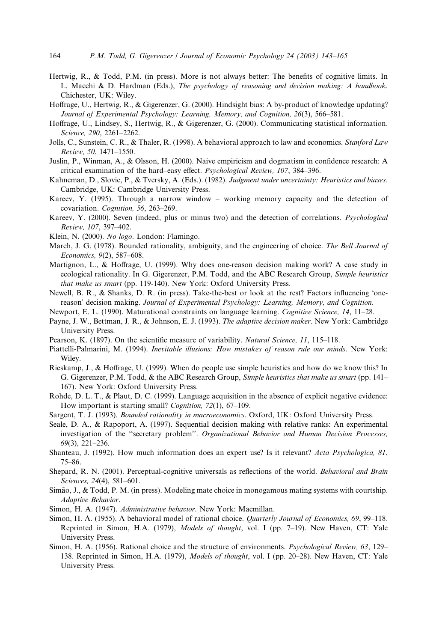- Hertwig, R., & Todd, P.M. (in press). More is not always better: The benefits of cognitive limits. In L. Macchi & D. Hardman (Eds.), The psychology of reasoning and decision making: A handbook. Chichester, UK: Wiley.
- Hoffrage, U., Hertwig, R., & Gigerenzer, G. (2000). Hindsight bias: A by-product of knowledge updating? Journal of Experimental Psychology: Learning, Memory, and Cognition, 26(3), 566–581.
- Hoffrage, U., Lindsey, S., Hertwig, R., & Gigerenzer, G. (2000). Communicating statistical information. Science, 290, 2261–2262.
- Jolls, C., Sunstein, C. R., & Thaler, R. (1998). A behavioral approach to law and economics. Stanford Law Review, 50, 1471–1550.
- Juslin, P., Winman, A., & Olsson, H. (2000). Naive empiricism and dogmatism in confidence research: A critical examination of the hard–easy effect. Psychological Review, 107, 384–396.
- Kahneman, D., Slovic, P., & Tversky, A. (Eds.). (1982). Judgment under uncertainty: Heuristics and biases. Cambridge, UK: Cambridge University Press.
- Kareev, Y. (1995). Through a narrow window working memory capacity and the detection of covariation. Cognition, 56, 263–269.
- Kareev, Y. (2000). Seven (indeed, plus or minus two) and the detection of correlations. Psychological Review, 107, 397–402.
- Klein, N. (2000). No logo. London: Flamingo.
- March, J. G. (1978). Bounded rationality, ambiguity, and the engineering of choice. The Bell Journal of Economics, 9(2), 587–608.
- Martignon, L., & Hoffrage, U. (1999). Why does one-reason decision making work? A case study in ecological rationality. In G. Gigerenzer, P.M. Todd, and the ABC Research Group, Simple heuristics that make us smart (pp. 119-140). New York: Oxford University Press.
- Newell, B. R., & Shanks, D. R. (in press). Take-the-best or look at the rest? Factors influencing 'onereason' decision making. Journal of Experimental Psychology: Learning, Memory, and Cognition.
- Newport, E. L. (1990). Maturational constraints on language learning. Cognitive Science, 14, 11–28.
- Payne, J. W., Bettman, J. R., & Johnson, E. J. (1993). The adaptive decision maker. New York: Cambridge University Press.
- Pearson, K. (1897). On the scientific measure of variability. *Natural Science, 11*, 115–118.
- Piattelli-Palmarini, M. (1994). Inevitable illusions: How mistakes of reason rule our minds. New York: Wiley.
- Rieskamp, J., & Hoffrage, U. (1999). When do people use simple heuristics and how do we know this? In G. Gigerenzer, P.M. Todd, & the ABC Research Group, Simple heuristics that make us smart (pp. 141– 167). New York: Oxford University Press.
- Rohde, D. L. T., & Plaut, D. C. (1999). Language acquisition in the absence of explicit negative evidence: How important is starting small? Cognition, 72(1), 67–109.
- Sargent, T. J. (1993). Bounded rationality in macroeconomics. Oxford, UK: Oxford University Press.
- Seale, D. A., & Rapoport, A. (1997). Sequential decision making with relative ranks: An experimental investigation of the ''secretary problem''. Organizational Behavior and Human Decision Processes, 69(3), 221–236.
- Shanteau, J. (1992). How much information does an expert use? Is it relevant? Acta Psychologica, 81, 75–86.
- Shepard, R. N. (2001). Perceptual-cognitive universals as reflections of the world. Behavioral and Brain Sciences, 24(4), 581–601.
- $\text{Simão}, \text{J., } \&$  Todd, P. M. (in press). Modeling mate choice in monogamous mating systems with courtship. Adaptive Behavior.
- Simon, H. A. (1947). Administrative behavior. New York: Macmillan.
- Simon, H. A. (1955). A behavioral model of rational choice. Quarterly Journal of Economics, 69, 99–118. Reprinted in Simon, H.A. (1979), Models of thought, vol. I (pp. 7–19). New Haven, CT: Yale University Press.
- Simon, H. A. (1956). Rational choice and the structure of environments. Psychological Review, 63, 129– 138. Reprinted in Simon, H.A. (1979), Models of thought, vol. I (pp. 20–28). New Haven, CT: Yale University Press.